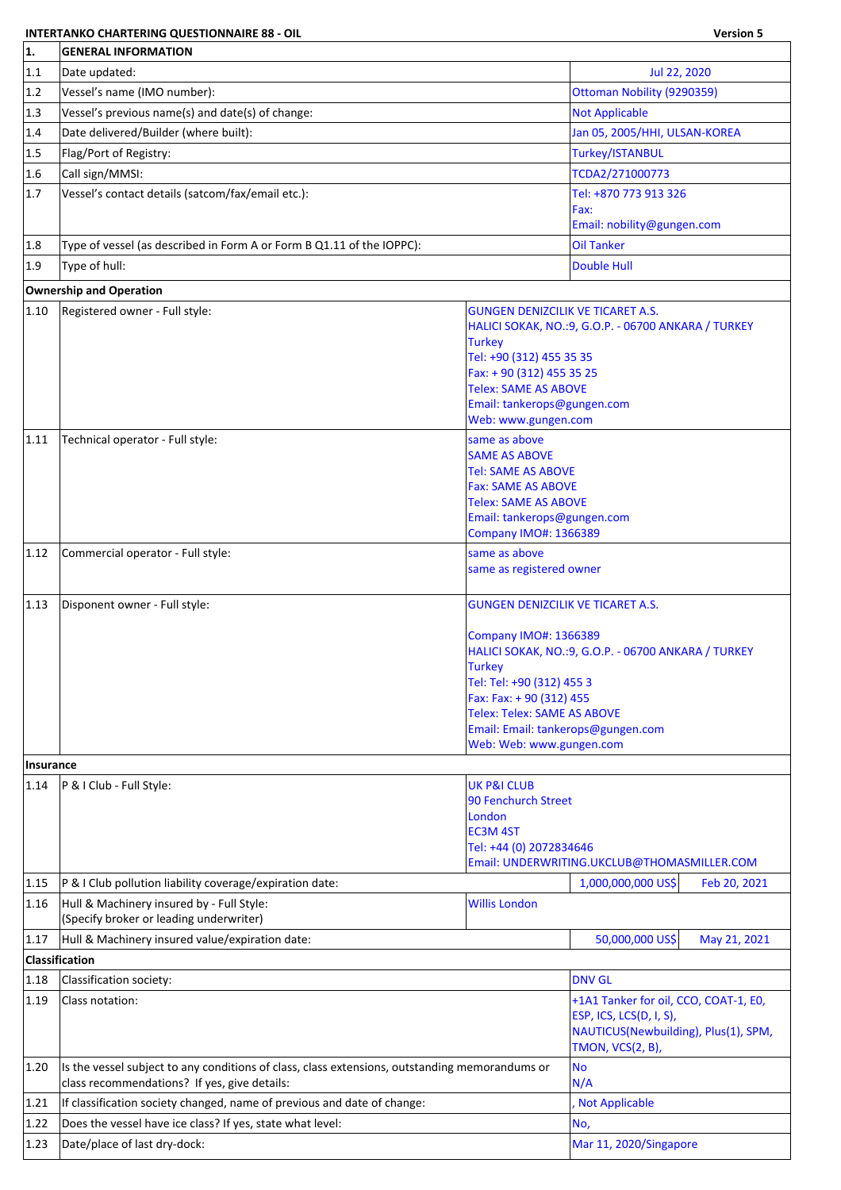## **INTERTANKO CHARTERING QUESTIONNAIRE 88 - OIL Version 5**

| 1.             | <b>GENERAL INFORMATION</b>                                                                                                                     |                                                          |                                                      |  |  |
|----------------|------------------------------------------------------------------------------------------------------------------------------------------------|----------------------------------------------------------|------------------------------------------------------|--|--|
| 1.1            | Date updated:                                                                                                                                  |                                                          | Jul 22, 2020                                         |  |  |
| 1.2            | Vessel's name (IMO number):                                                                                                                    |                                                          | Ottoman Nobility (9290359)                           |  |  |
| 1.3            | Vessel's previous name(s) and date(s) of change:                                                                                               |                                                          | <b>Not Applicable</b>                                |  |  |
| 1.4            | Date delivered/Builder (where built):                                                                                                          |                                                          | Jan 05, 2005/HHI, ULSAN-KOREA                        |  |  |
| 1.5            | Flag/Port of Registry:                                                                                                                         |                                                          | Turkey/ISTANBUL                                      |  |  |
| 1.6            | Call sign/MMSI:                                                                                                                                |                                                          | TCDA2/271000773                                      |  |  |
| 1.7            | Vessel's contact details (satcom/fax/email etc.):                                                                                              |                                                          | Tel: +870 773 913 326                                |  |  |
|                |                                                                                                                                                |                                                          | Fax:                                                 |  |  |
|                |                                                                                                                                                |                                                          | Email: nobility@gungen.com                           |  |  |
| 1.8            | Type of vessel (as described in Form A or Form B Q1.11 of the IOPPC):                                                                          |                                                          | <b>Oil Tanker</b>                                    |  |  |
| 1.9            | Type of hull:                                                                                                                                  |                                                          | Double Hull                                          |  |  |
|                | <b>Ownership and Operation</b>                                                                                                                 |                                                          |                                                      |  |  |
| 1.10           | Registered owner - Full style:                                                                                                                 | <b>GUNGEN DENIZCILIK VE TICARET A.S.</b>                 |                                                      |  |  |
|                |                                                                                                                                                | <b>Turkey</b>                                            | HALICI SOKAK, NO.: 9, G.O.P. - 06700 ANKARA / TURKEY |  |  |
|                |                                                                                                                                                | Tel: +90 (312) 455 35 35                                 |                                                      |  |  |
|                |                                                                                                                                                | Fax: + 90 (312) 455 35 25                                |                                                      |  |  |
|                |                                                                                                                                                | <b>Telex: SAME AS ABOVE</b>                              |                                                      |  |  |
|                |                                                                                                                                                | Email: tankerops@gungen.com<br>Web: www.gungen.com       |                                                      |  |  |
| 1.11           | Technical operator - Full style:                                                                                                               | same as above                                            |                                                      |  |  |
|                |                                                                                                                                                | <b>SAME AS ABOVE</b>                                     |                                                      |  |  |
|                |                                                                                                                                                | <b>Tel: SAME AS ABOVE</b>                                |                                                      |  |  |
|                |                                                                                                                                                | <b>Fax: SAME AS ABOVE</b><br><b>Telex: SAME AS ABOVE</b> |                                                      |  |  |
|                |                                                                                                                                                | Email: tankerops@gungen.com                              |                                                      |  |  |
|                |                                                                                                                                                | <b>Company IMO#: 1366389</b>                             |                                                      |  |  |
| 1.12           | Commercial operator - Full style:                                                                                                              | same as above                                            |                                                      |  |  |
|                |                                                                                                                                                | same as registered owner                                 |                                                      |  |  |
| 1.13           | Disponent owner - Full style:                                                                                                                  | <b>GUNGEN DENIZCILIK VE TICARET A.S.</b>                 |                                                      |  |  |
|                |                                                                                                                                                |                                                          |                                                      |  |  |
|                |                                                                                                                                                | <b>Company IMO#: 1366389</b>                             |                                                      |  |  |
|                |                                                                                                                                                | Turkey                                                   | HALICI SOKAK, NO.: 9, G.O.P. - 06700 ANKARA / TURKEY |  |  |
|                |                                                                                                                                                | Tel: Tel: +90 (312) 455 3                                |                                                      |  |  |
|                |                                                                                                                                                | Fax: Fax: + 90 (312) 455                                 |                                                      |  |  |
|                |                                                                                                                                                | <b>Telex: Telex: SAME AS ABOVE</b>                       | Email: Email: tankerops@gungen.com                   |  |  |
|                |                                                                                                                                                | Web: Web: www.gungen.com                                 |                                                      |  |  |
| Insurance      |                                                                                                                                                |                                                          |                                                      |  |  |
| $ 1.14\rangle$ | P & I Club - Full Style:                                                                                                                       | <b>UK P&amp;I CLUB</b>                                   |                                                      |  |  |
|                |                                                                                                                                                | 90 Fenchurch Street                                      |                                                      |  |  |
|                |                                                                                                                                                | London<br><b>EC3M 4ST</b>                                |                                                      |  |  |
|                |                                                                                                                                                | Tel: +44 (0) 2072834646                                  |                                                      |  |  |
|                |                                                                                                                                                |                                                          | Email: UNDERWRITING.UKCLUB@THOMASMILLER.COM          |  |  |
| 1.15           | P & I Club pollution liability coverage/expiration date:                                                                                       |                                                          | 1,000,000,000 US\$<br>Feb 20, 2021                   |  |  |
| 1.16           | Hull & Machinery insured by - Full Style:                                                                                                      | <b>Willis London</b>                                     |                                                      |  |  |
|                | (Specify broker or leading underwriter)                                                                                                        |                                                          |                                                      |  |  |
| 1.17           | Hull & Machinery insured value/expiration date:<br>Classification                                                                              |                                                          | 50,000,000 US\$<br>May 21, 2021                      |  |  |
| 1.18           | Classification society:                                                                                                                        |                                                          | <b>DNV GL</b>                                        |  |  |
| 1.19           | Class notation:                                                                                                                                |                                                          | +1A1 Tanker for oil, CCO, COAT-1, E0,                |  |  |
|                |                                                                                                                                                |                                                          | <b>ESP, ICS, LCS(D, I, S),</b>                       |  |  |
|                |                                                                                                                                                |                                                          | NAUTICUS(Newbuilding), Plus(1), SPM,                 |  |  |
|                |                                                                                                                                                |                                                          | TMON, VCS(2, B),                                     |  |  |
| 1.20           | Is the vessel subject to any conditions of class, class extensions, outstanding memorandums or<br>class recommendations? If yes, give details: |                                                          | No<br>N/A                                            |  |  |
| 1.21           | If classification society changed, name of previous and date of change:                                                                        |                                                          | Not Applicable                                       |  |  |
| 1.22           | Does the vessel have ice class? If yes, state what level:                                                                                      |                                                          | No,                                                  |  |  |
| 1.23           | Date/place of last dry-dock:                                                                                                                   |                                                          | Mar 11, 2020/Singapore                               |  |  |
|                |                                                                                                                                                |                                                          |                                                      |  |  |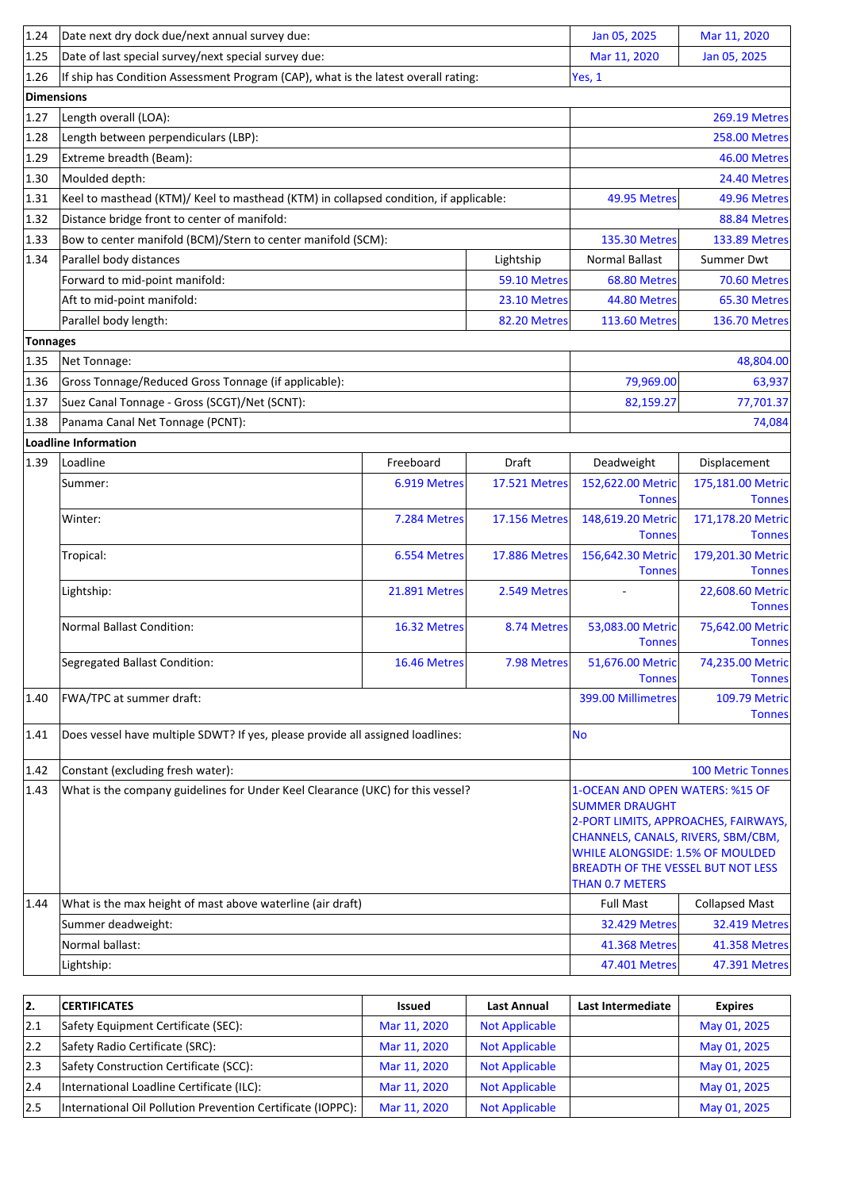| 1.24              | Date next dry dock due/next annual survey due:                                     |                                                                                       |                      | Jan 05, 2025                                                                                                                                                           | Mar 11, 2020                         |
|-------------------|------------------------------------------------------------------------------------|---------------------------------------------------------------------------------------|----------------------|------------------------------------------------------------------------------------------------------------------------------------------------------------------------|--------------------------------------|
| 1.25              | Date of last special survey/next special survey due:                               |                                                                                       |                      | Mar 11, 2020                                                                                                                                                           | Jan 05, 2025                         |
| 1.26              | If ship has Condition Assessment Program (CAP), what is the latest overall rating: |                                                                                       |                      | Yes, 1                                                                                                                                                                 |                                      |
| <b>Dimensions</b> |                                                                                    |                                                                                       |                      |                                                                                                                                                                        |                                      |
| 1.27              | Length overall (LOA):                                                              |                                                                                       |                      |                                                                                                                                                                        | <b>269.19 Metres</b>                 |
| 1.28              | Length between perpendiculars (LBP):                                               |                                                                                       |                      |                                                                                                                                                                        | <b>258.00 Metres</b>                 |
| 1.29              | Extreme breadth (Beam):                                                            |                                                                                       |                      |                                                                                                                                                                        | 46.00 Metres                         |
| 1.30              | Moulded depth:                                                                     |                                                                                       |                      |                                                                                                                                                                        | 24.40 Metres                         |
| 1.31              |                                                                                    | Keel to masthead (KTM)/ Keel to masthead (KTM) in collapsed condition, if applicable: |                      |                                                                                                                                                                        |                                      |
| 1.32              | Distance bridge front to center of manifold:                                       |                                                                                       |                      |                                                                                                                                                                        | 88.84 Metres                         |
| 1.33              | Bow to center manifold (BCM)/Stern to center manifold (SCM):                       |                                                                                       |                      | <b>135.30 Metres</b>                                                                                                                                                   | <b>133.89 Metres</b>                 |
| 1.34              | Parallel body distances<br>Lightship                                               |                                                                                       |                      | <b>Normal Ballast</b>                                                                                                                                                  | Summer Dwt                           |
|                   | Forward to mid-point manifold:                                                     |                                                                                       | 59.10 Metres         | 68.80 Metres                                                                                                                                                           | 70.60 Metres                         |
|                   | Aft to mid-point manifold:                                                         |                                                                                       | 23.10 Metres         | 44.80 Metres                                                                                                                                                           | 65.30 Metres                         |
|                   | Parallel body length:                                                              |                                                                                       | 82.20 Metres         | <b>113.60 Metres</b>                                                                                                                                                   | <b>136.70 Metres</b>                 |
| <b>Tonnages</b>   |                                                                                    |                                                                                       |                      |                                                                                                                                                                        |                                      |
| 1.35              | Net Tonnage:                                                                       |                                                                                       |                      |                                                                                                                                                                        | 48,804.00                            |
| 1.36              | Gross Tonnage/Reduced Gross Tonnage (if applicable):                               |                                                                                       |                      | 79,969.00                                                                                                                                                              | 63,937                               |
| 1.37              | Suez Canal Tonnage - Gross (SCGT)/Net (SCNT):                                      |                                                                                       |                      | 82,159.27                                                                                                                                                              | 77,701.37                            |
| 1.38              | Panama Canal Net Tonnage (PCNT):                                                   |                                                                                       |                      |                                                                                                                                                                        | 74,084                               |
|                   | <b>Loadline Information</b>                                                        |                                                                                       |                      |                                                                                                                                                                        |                                      |
| 1.39              | Loadline                                                                           | Freeboard                                                                             | Draft                | Deadweight                                                                                                                                                             | Displacement                         |
|                   | Summer:                                                                            | 6.919 Metres                                                                          | <b>17.521 Metres</b> | 152,622.00 Metric<br><b>Tonnes</b>                                                                                                                                     | 175,181.00 Metric<br><b>Tonnes</b>   |
|                   | Winter:                                                                            | 7.284 Metres                                                                          | 17.156 Metres        | 148,619.20 Metric<br><b>Tonnes</b>                                                                                                                                     | 171,178.20 Metric<br><b>Tonnes</b>   |
|                   | Tropical:                                                                          | 6.554 Metres                                                                          | <b>17.886 Metres</b> | 156,642.30 Metric<br><b>Tonnes</b>                                                                                                                                     | 179,201.30 Metric<br><b>Tonnes</b>   |
|                   | Lightship:                                                                         | <b>21.891 Metres</b>                                                                  | 2.549 Metres         |                                                                                                                                                                        | 22,608.60 Metric<br><b>Tonnes</b>    |
|                   | <b>Normal Ballast Condition:</b>                                                   | 16.32 Metres                                                                          | 8.74 Metres          | 53,083.00 Metric<br><b>Tonnes</b>                                                                                                                                      | 75,642.00 Metric<br><b>Tonnes</b>    |
|                   | <b>Segregated Ballast Condition:</b>                                               | 16.46 Metres                                                                          | 7.98 Metres          | 51,676.00 Metric<br><b>Tonnes</b>                                                                                                                                      | 74,235.00 Metric<br><b>Tonnes</b>    |
| 1.40              | FWA/TPC at summer draft:                                                           |                                                                                       |                      | 399.00 Millimetres                                                                                                                                                     | 109.79 Metric<br><b>Tonnes</b>       |
| 1.41              | Does vessel have multiple SDWT? If yes, please provide all assigned loadlines:     |                                                                                       |                      | <b>No</b>                                                                                                                                                              |                                      |
| 1.42              | Constant (excluding fresh water):                                                  |                                                                                       |                      |                                                                                                                                                                        | <b>100 Metric Tonnes</b>             |
| 1.43              | What is the company guidelines for Under Keel Clearance (UKC) for this vessel?     |                                                                                       |                      | 1-OCEAN AND OPEN WATERS: %15 OF                                                                                                                                        |                                      |
|                   |                                                                                    |                                                                                       |                      | <b>SUMMER DRAUGHT</b><br>CHANNELS, CANALS, RIVERS, SBM/CBM,<br>WHILE ALONGSIDE: 1.5% OF MOULDED<br><b>BREADTH OF THE VESSEL BUT NOT LESS</b><br><b>THAN 0.7 METERS</b> | 2-PORT LIMITS, APPROACHES, FAIRWAYS, |
| 1.44              | What is the max height of mast above waterline (air draft)                         |                                                                                       | <b>Full Mast</b>     | <b>Collapsed Mast</b>                                                                                                                                                  |                                      |
|                   | Summer deadweight:                                                                 |                                                                                       |                      | <b>32.429 Metres</b>                                                                                                                                                   | <b>32.419 Metres</b>                 |
|                   | Normal ballast:                                                                    |                                                                                       |                      | <b>41.368 Metres</b>                                                                                                                                                   | 41.358 Metres                        |
|                   | Lightship:                                                                         |                                                                                       | 47.401 Metres        | 47.391 Metres                                                                                                                                                          |                                      |

| 12. | <b>CERTIFICATES</b>                                         | <b>Issued</b> | Last Annual           | Last Intermediate | <b>Expires</b> |
|-----|-------------------------------------------------------------|---------------|-----------------------|-------------------|----------------|
| 2.1 | Safety Equipment Certificate (SEC):                         | Mar 11, 2020  | <b>Not Applicable</b> |                   | May 01, 2025   |
| 2.2 | Safety Radio Certificate (SRC):                             | Mar 11, 2020  | <b>Not Applicable</b> |                   | May 01, 2025   |
| 2.3 | Safety Construction Certificate (SCC):                      | Mar 11, 2020  | <b>Not Applicable</b> |                   | May 01, 2025   |
| 2.4 | International Loadline Certificate (ILC):                   | Mar 11, 2020  | <b>Not Applicable</b> |                   | May 01, 2025   |
| 2.5 | International Oil Pollution Prevention Certificate (IOPPC): | Mar 11, 2020  | <b>Not Applicable</b> |                   | May 01, 2025   |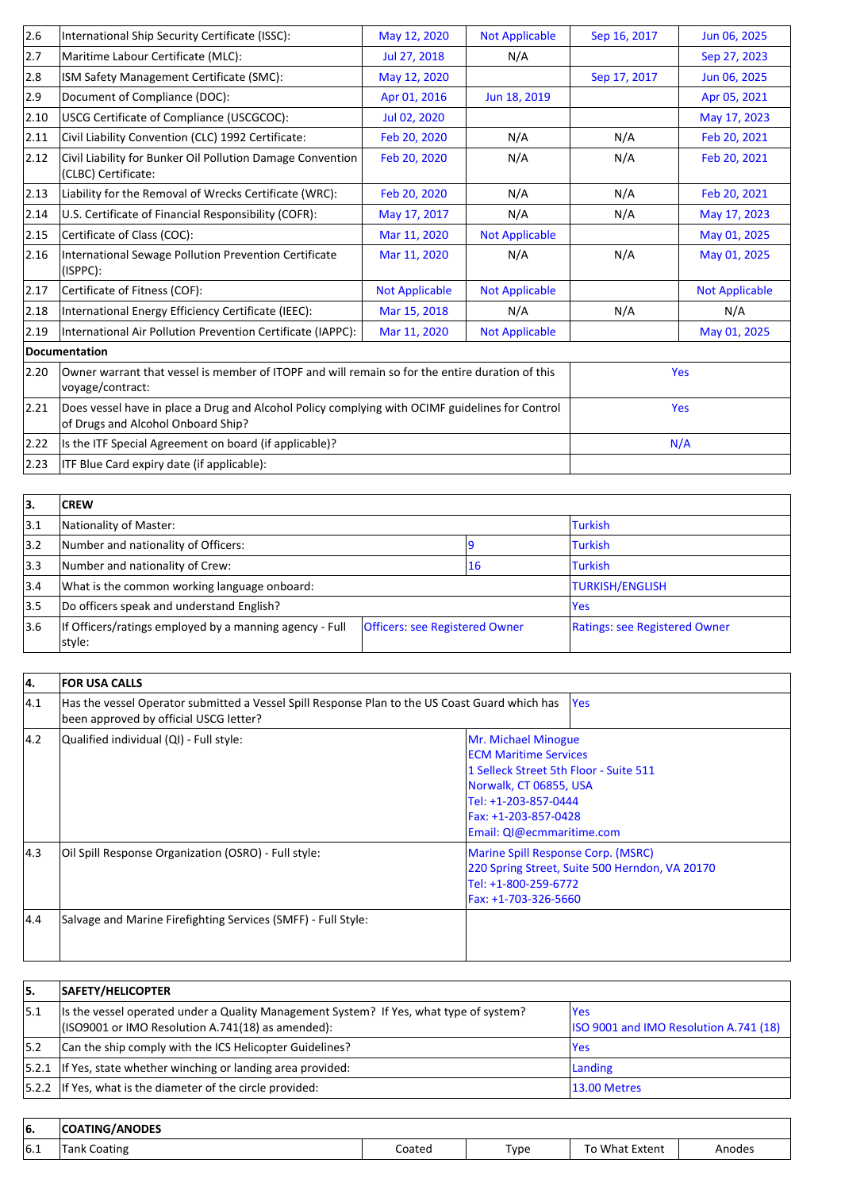| International Ship Security Certificate (ISSC):                                                                                                         | May 12, 2020          | <b>Not Applicable</b> | Sep 16, 2017 | Jun 06, 2025          |
|---------------------------------------------------------------------------------------------------------------------------------------------------------|-----------------------|-----------------------|--------------|-----------------------|
| Maritime Labour Certificate (MLC):                                                                                                                      | Jul 27, 2018          | N/A                   |              | Sep 27, 2023          |
| ISM Safety Management Certificate (SMC):                                                                                                                | May 12, 2020          |                       | Sep 17, 2017 | Jun 06, 2025          |
| Document of Compliance (DOC):                                                                                                                           | Apr 01, 2016          | Jun 18, 2019          |              | Apr 05, 2021          |
| USCG Certificate of Compliance (USCGCOC):                                                                                                               | Jul 02, 2020          |                       |              | May 17, 2023          |
| Civil Liability Convention (CLC) 1992 Certificate:                                                                                                      | Feb 20, 2020          | N/A                   | N/A          | Feb 20, 2021          |
| Civil Liability for Bunker Oil Pollution Damage Convention<br>(CLBC) Certificate:                                                                       | Feb 20, 2020          | N/A                   | N/A          | Feb 20, 2021          |
| Liability for the Removal of Wrecks Certificate (WRC):                                                                                                  | Feb 20, 2020          | N/A                   | N/A          | Feb 20, 2021          |
| U.S. Certificate of Financial Responsibility (COFR):                                                                                                    | May 17, 2017          | N/A                   | N/A          | May 17, 2023          |
| Certificate of Class (COC):                                                                                                                             | Mar 11, 2020          | <b>Not Applicable</b> |              | May 01, 2025          |
| International Sewage Pollution Prevention Certificate<br>(ISPPC):                                                                                       | Mar 11, 2020          | N/A                   | N/A          | May 01, 2025          |
| Certificate of Fitness (COF):                                                                                                                           | <b>Not Applicable</b> | <b>Not Applicable</b> |              | <b>Not Applicable</b> |
| International Energy Efficiency Certificate (IEEC):                                                                                                     | Mar 15, 2018          | N/A                   | N/A          | N/A                   |
| International Air Pollution Prevention Certificate (IAPPC):                                                                                             | Mar 11, 2020          | <b>Not Applicable</b> |              | May 01, 2025          |
| Documentation                                                                                                                                           |                       |                       |              |                       |
| Owner warrant that vessel is member of ITOPF and will remain so for the entire duration of this<br>2.20<br>voyage/contract:                             |                       |                       |              | Yes                   |
| Does vessel have in place a Drug and Alcohol Policy complying with OCIMF guidelines for Control<br>$ 2.21\rangle$<br>of Drugs and Alcohol Onboard Ship? |                       |                       |              | Yes                   |
| 2.22<br>Is the ITF Special Agreement on board (if applicable)?                                                                                          |                       |                       |              | N/A                   |
| ITF Blue Card expiry date (if applicable):<br>2.23                                                                                                      |                       |                       |              |                       |
|                                                                                                                                                         |                       |                       |              |                       |

| 3.            | <b>CREW</b>                                                       |                                       |            |                               |  |
|---------------|-------------------------------------------------------------------|---------------------------------------|------------|-------------------------------|--|
| 3.1           | Nationality of Master:                                            |                                       |            | <b>Turkish</b>                |  |
| $ 3.2\rangle$ | Number and nationality of Officers:                               |                                       |            | <b>Turkish</b>                |  |
| 3.3           | Number and nationality of Crew:                                   |                                       | 16         | <b>Turkish</b>                |  |
| 3.4           | What is the common working language onboard:                      |                                       |            | <b>TURKISH/ENGLISH</b>        |  |
| 3.5           | Do officers speak and understand English?                         |                                       | <b>Yes</b> |                               |  |
| 3.6           | If Officers/ratings employed by a manning agency - Full<br>style: | <b>Officers: see Registered Owner</b> |            | Ratings: see Registered Owner |  |

| 14.           | <b>FOR USA CALLS</b>                                                                                                                     |                                                                                                                                                                                                       |  |  |
|---------------|------------------------------------------------------------------------------------------------------------------------------------------|-------------------------------------------------------------------------------------------------------------------------------------------------------------------------------------------------------|--|--|
| 4.1           | Has the vessel Operator submitted a Vessel Spill Response Plan to the US Coast Guard which has<br>been approved by official USCG letter? | <b>Yes</b>                                                                                                                                                                                            |  |  |
| $ 4.2\rangle$ | Qualified individual (QI) - Full style:                                                                                                  | Mr. Michael Minogue<br><b>IECM Maritime Services</b><br>1 Selleck Street 5th Floor - Suite 511<br>Norwalk, CT 06855, USA<br>Tel: +1-203-857-0444<br>Fax: +1-203-857-0428<br>Email: QI@ecmmaritime.com |  |  |
| 14.3          | Oil Spill Response Organization (OSRO) - Full style:                                                                                     | Marine Spill Response Corp. (MSRC)<br>220 Spring Street, Suite 500 Herndon, VA 20170<br>Tel: +1-800-259-6772<br>Fax: +1-703-326-5660                                                                  |  |  |
| 4.4           | Salvage and Marine Firefighting Services (SMFF) - Full Style:                                                                            |                                                                                                                                                                                                       |  |  |

| 15.  | <b>SAFETY/HELICOPTER</b>                                                                                                                     |                                                |
|------|----------------------------------------------------------------------------------------------------------------------------------------------|------------------------------------------------|
| 15.1 | Its the vessel operated under a Quality Management System? If Yes, what type of system?<br>(ISO9001 or IMO Resolution A.741(18) as amended): | lYes<br>ISO 9001 and IMO Resolution A.741 (18) |
| 15.2 | Can the ship comply with the ICS Helicopter Guidelines?                                                                                      | lYes                                           |
|      | $ 5.2.1 $ If Yes, state whether winching or landing area provided:                                                                           | Landing                                        |
|      | $ 5.2.2 $ If Yes, what is the diameter of the circle provided:                                                                               | 13.00 Metres                                   |

| 16. | <b>/ANODES</b><br>'COATING. |        |      |                  |       |
|-----|-----------------------------|--------|------|------------------|-------|
| 6.1 | -<br>_oating<br>Tank        | Coated | Туре | , What<br>Extent | modes |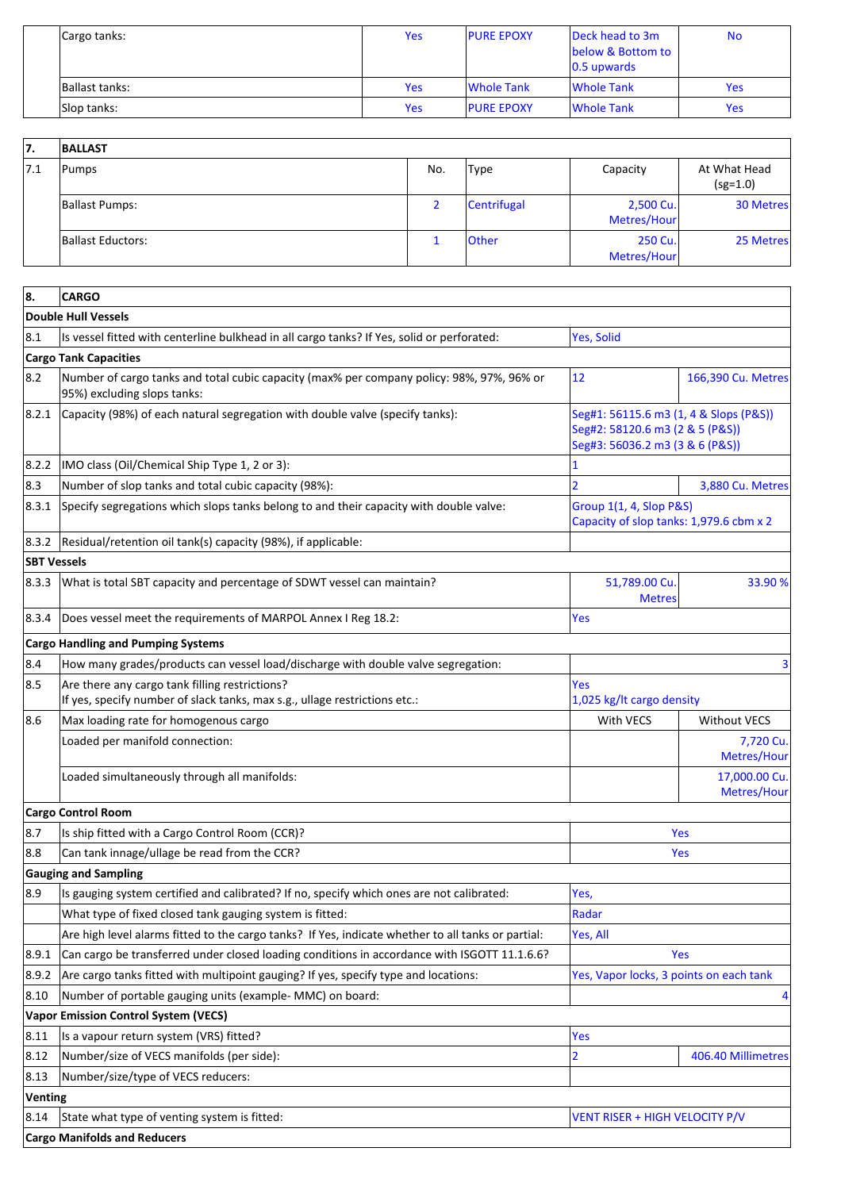| Cargo tanks:   | Yes        | <b>PURE EPOXY</b> | Deck head to 3m<br>below & Bottom to<br>$ 0.5$ upwards | <b>No</b>  |
|----------------|------------|-------------------|--------------------------------------------------------|------------|
| Ballast tanks: | <b>Yes</b> | Whole Tank        | Whole Tank                                             | <b>Yes</b> |
| Slop tanks:    | <b>Yes</b> | <b>PURE EPOXY</b> | Whole Tank                                             | <b>Yes</b> |

| 7.  | <b>BALLAST</b>           |     |              |                          |                            |
|-----|--------------------------|-----|--------------|--------------------------|----------------------------|
| 7.1 | Pumps                    | No. | Type         | Capacity                 | At What Head<br>$(sg=1.0)$ |
|     | <b>Ballast Pumps:</b>    |     | Centrifugal  | 2,500 Cu.<br>Metres/Hour | 30 Metres                  |
|     | <b>Ballast Eductors:</b> |     | <b>Other</b> | 250 Cu.<br>Metres/Hour   | 25 Metres                  |

| 8.<br><b>CARGO</b> |                                                                                                                              |                                                                                                              |                              |  |
|--------------------|------------------------------------------------------------------------------------------------------------------------------|--------------------------------------------------------------------------------------------------------------|------------------------------|--|
|                    | Double Hull Vessels                                                                                                          |                                                                                                              |                              |  |
| 8.1                | Is vessel fitted with centerline bulkhead in all cargo tanks? If Yes, solid or perforated:                                   | Yes, Solid                                                                                                   |                              |  |
|                    | <b>Cargo Tank Capacities</b>                                                                                                 |                                                                                                              |                              |  |
| 8.2                | Number of cargo tanks and total cubic capacity (max% per company policy: 98%, 97%, 96% or<br>95%) excluding slops tanks:     | 12                                                                                                           | 166,390 Cu. Metres           |  |
| 8.2.1              | Capacity (98%) of each natural segregation with double valve (specify tanks):                                                | Seg#1: 56115.6 m3 (1, 4 & Slops (P&S))<br>Seg#2: 58120.6 m3 (2 & 5 (P&S))<br>Seg#3: 56036.2 m3 (3 & 6 (P&S)) |                              |  |
| 8.2.2              | IMO class (Oil/Chemical Ship Type 1, 2 or 3):                                                                                | 1                                                                                                            |                              |  |
| 8.3                | Number of slop tanks and total cubic capacity (98%):                                                                         |                                                                                                              | 3,880 Cu. Metres             |  |
| 8.3.1              | Specify segregations which slops tanks belong to and their capacity with double valve:                                       | Group 1(1, 4, Slop P&S)<br>Capacity of slop tanks: 1,979.6 cbm x 2                                           |                              |  |
| 8.3.2              | Residual/retention oil tank(s) capacity (98%), if applicable:                                                                |                                                                                                              |                              |  |
| <b>SBT Vessels</b> |                                                                                                                              |                                                                                                              |                              |  |
| 8.3.3              | What is total SBT capacity and percentage of SDWT vessel can maintain?                                                       | 51,789.00 Cu<br><b>Metres</b>                                                                                | 33.90 %                      |  |
| 8.3.4              | Does vessel meet the requirements of MARPOL Annex I Reg 18.2:                                                                | Yes                                                                                                          |                              |  |
|                    | <b>Cargo Handling and Pumping Systems</b>                                                                                    |                                                                                                              |                              |  |
| 8.4                | How many grades/products can vessel load/discharge with double valve segregation:                                            |                                                                                                              | 3                            |  |
| 8.5                | Are there any cargo tank filling restrictions?<br>If yes, specify number of slack tanks, max s.g., ullage restrictions etc.: | Yes<br>1,025 kg/lt cargo density                                                                             |                              |  |
| 8.6                | Max loading rate for homogenous cargo                                                                                        | With VECS                                                                                                    | <b>Without VECS</b>          |  |
|                    | Loaded per manifold connection:                                                                                              |                                                                                                              | 7,720 Cu.<br>Metres/Hour     |  |
|                    | Loaded simultaneously through all manifolds:                                                                                 |                                                                                                              | 17,000.00 Cu.<br>Metres/Hour |  |
|                    | Cargo Control Room                                                                                                           |                                                                                                              |                              |  |
| 8.7                | Is ship fitted with a Cargo Control Room (CCR)?                                                                              |                                                                                                              | Yes                          |  |
| 8.8                | Can tank innage/ullage be read from the CCR?                                                                                 |                                                                                                              | Yes                          |  |
|                    | <b>Gauging and Sampling</b>                                                                                                  |                                                                                                              |                              |  |
| 8.9                | Is gauging system certified and calibrated? If no, specify which ones are not calibrated:                                    | Yes,                                                                                                         |                              |  |
|                    | What type of fixed closed tank gauging system is fitted:                                                                     | Radar                                                                                                        |                              |  |
|                    | Are high level alarms fitted to the cargo tanks? If Yes, indicate whether to all tanks or partial:                           | Yes, All                                                                                                     |                              |  |
| 8.9.1              | Can cargo be transferred under closed loading conditions in accordance with ISGOTT 11.1.6.6?                                 |                                                                                                              | Yes                          |  |
| 8.9.2              | Are cargo tanks fitted with multipoint gauging? If yes, specify type and locations:                                          | Yes, Vapor locks, 3 points on each tank                                                                      |                              |  |
| 8.10               | Number of portable gauging units (example- MMC) on board:                                                                    |                                                                                                              | 4                            |  |
|                    | <b>Vapor Emission Control System (VECS)</b>                                                                                  |                                                                                                              |                              |  |
| 8.11               | Is a vapour return system (VRS) fitted?                                                                                      | <b>Yes</b>                                                                                                   |                              |  |
| 8.12               | Number/size of VECS manifolds (per side):                                                                                    | 2                                                                                                            | 406.40 Millimetres           |  |
| 8.13               | Number/size/type of VECS reducers:                                                                                           |                                                                                                              |                              |  |
| <b>Venting</b>     |                                                                                                                              |                                                                                                              |                              |  |
| 8.14               | State what type of venting system is fitted:                                                                                 | VENT RISER + HIGH VELOCITY P/V                                                                               |                              |  |
|                    | <b>Cargo Manifolds and Reducers</b>                                                                                          |                                                                                                              |                              |  |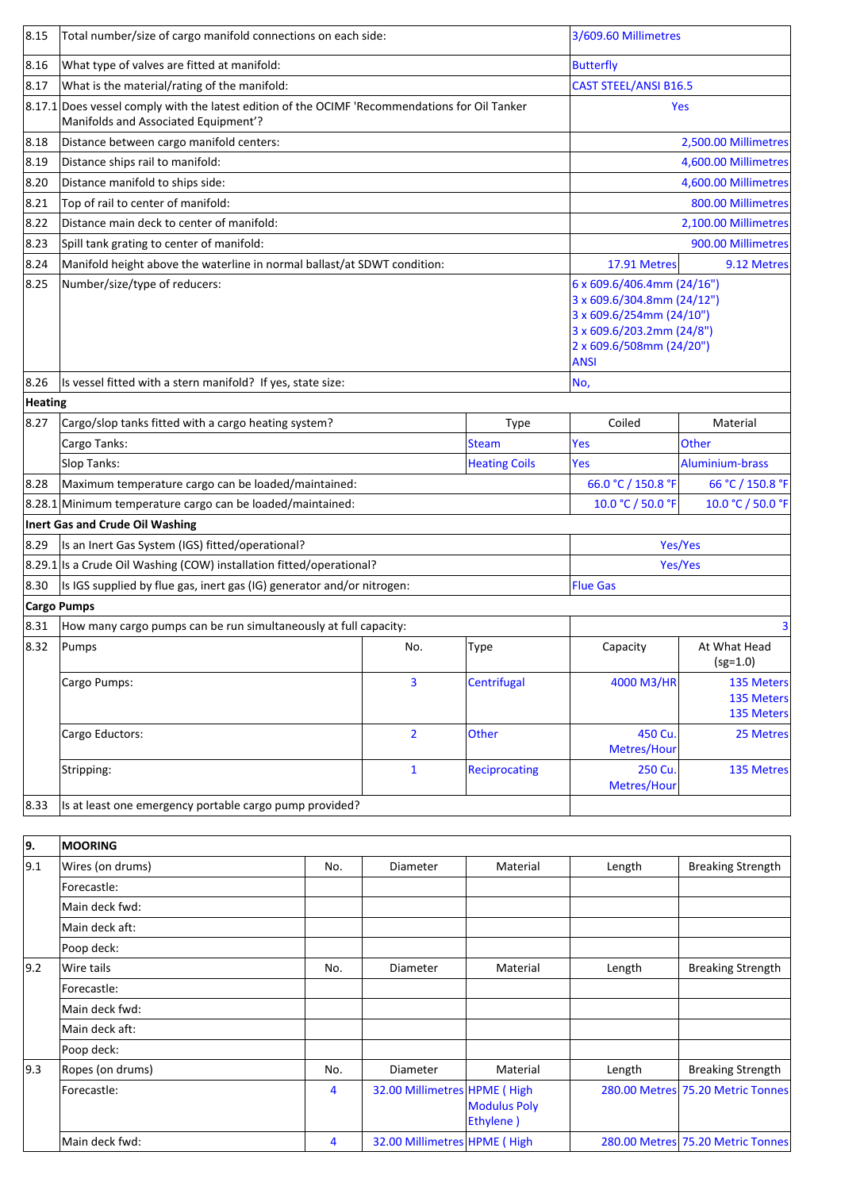| 8.15           | Total number/size of cargo manifold connections on each side:                                                                              |                                                                                                                                                              |                              |                      | 3/609.60 Millimetres         |                                        |  |
|----------------|--------------------------------------------------------------------------------------------------------------------------------------------|--------------------------------------------------------------------------------------------------------------------------------------------------------------|------------------------------|----------------------|------------------------------|----------------------------------------|--|
| 8.16           | What type of valves are fitted at manifold:                                                                                                |                                                                                                                                                              |                              |                      | <b>Butterfly</b>             |                                        |  |
| 8.17           | What is the material/rating of the manifold:                                                                                               |                                                                                                                                                              |                              |                      | <b>CAST STEEL/ANSI B16.5</b> |                                        |  |
|                | $ 8.17.1 $ Does vessel comply with the latest edition of the OCIMF 'Recommendations for Oil Tanker<br>Manifolds and Associated Equipment'? |                                                                                                                                                              |                              |                      |                              | Yes                                    |  |
| 8.18           | Distance between cargo manifold centers:                                                                                                   |                                                                                                                                                              |                              |                      |                              | 2,500.00 Millimetres                   |  |
| 8.19           | Distance ships rail to manifold:                                                                                                           |                                                                                                                                                              |                              |                      |                              | 4,600.00 Millimetres                   |  |
| 8.20           | Distance manifold to ships side:                                                                                                           |                                                                                                                                                              |                              |                      |                              | 4,600.00 Millimetres                   |  |
| 8.21           | Top of rail to center of manifold:                                                                                                         |                                                                                                                                                              |                              |                      |                              | 800.00 Millimetres                     |  |
| 8.22           | Distance main deck to center of manifold:                                                                                                  |                                                                                                                                                              |                              | 2,100.00 Millimetres |                              |                                        |  |
| 8.23           | Spill tank grating to center of manifold:                                                                                                  |                                                                                                                                                              |                              |                      |                              | 900.00 Millimetres                     |  |
| 8.24           | Manifold height above the waterline in normal ballast/at SDWT condition:                                                                   |                                                                                                                                                              |                              |                      | 17.91 Metres                 | 9.12 Metres                            |  |
| 8.25           | Number/size/type of reducers:                                                                                                              | 6 x 609.6/406.4mm (24/16")<br>3 x 609.6/304.8mm (24/12")<br>3 x 609.6/254mm (24/10")<br>3 x 609.6/203.2mm (24/8")<br>2 x 609.6/508mm (24/20")<br><b>ANSI</b> |                              |                      |                              |                                        |  |
| 8.26           | Is vessel fitted with a stern manifold? If yes, state size:                                                                                |                                                                                                                                                              |                              |                      | No,                          |                                        |  |
| <b>Heating</b> |                                                                                                                                            |                                                                                                                                                              |                              |                      |                              |                                        |  |
| 8.27           | Cargo/slop tanks fitted with a cargo heating system?                                                                                       |                                                                                                                                                              |                              | <b>Type</b>          | Coiled                       | Material                               |  |
|                | Cargo Tanks:                                                                                                                               |                                                                                                                                                              |                              | <b>Steam</b>         | Yes                          | <b>Other</b>                           |  |
|                | Slop Tanks:<br><b>Heating Coils</b>                                                                                                        |                                                                                                                                                              |                              |                      | Yes                          | Aluminium-brass                        |  |
| 8.28           | Maximum temperature cargo can be loaded/maintained:                                                                                        |                                                                                                                                                              | 66.0 °C / 150.8 °F           | 66 °C / 150.8 °F     |                              |                                        |  |
|                | 8.28.1 Minimum temperature cargo can be loaded/maintained:                                                                                 |                                                                                                                                                              |                              |                      | 10.0 °C / 50.0 °F            | 10.0 °C / 50.0 °F                      |  |
|                | <b>Inert Gas and Crude Oil Washing</b>                                                                                                     |                                                                                                                                                              |                              |                      |                              |                                        |  |
| 8.29           | Is an Inert Gas System (IGS) fitted/operational?                                                                                           |                                                                                                                                                              |                              |                      |                              | Yes/Yes                                |  |
|                | 8.29.1 Is a Crude Oil Washing (COW) installation fitted/operational?                                                                       |                                                                                                                                                              |                              |                      | Yes/Yes                      |                                        |  |
| 8.30           | Is IGS supplied by flue gas, inert gas (IG) generator and/or nitrogen:                                                                     |                                                                                                                                                              |                              |                      | <b>Flue Gas</b>              |                                        |  |
|                | <b>Cargo Pumps</b>                                                                                                                         |                                                                                                                                                              |                              |                      |                              |                                        |  |
| 8.31           | How many cargo pumps can be run simultaneously at full capacity:                                                                           |                                                                                                                                                              |                              |                      |                              | 3                                      |  |
| 8.32           | Pumps                                                                                                                                      |                                                                                                                                                              | No.                          | Type                 | Capacity                     | At What Head<br>$(sg=1.0)$             |  |
|                | Cargo Pumps:                                                                                                                               |                                                                                                                                                              | 3                            | Centrifugal          | 4000 M3/HR                   | 135 Meters<br>135 Meters<br>135 Meters |  |
|                | Cargo Eductors:                                                                                                                            |                                                                                                                                                              | $\overline{2}$               | Other                | 450 Cu.<br>Metres/Hour       | 25 Metres                              |  |
|                | Stripping:                                                                                                                                 |                                                                                                                                                              | 1                            | <b>Reciprocating</b> | 250 Cu.<br>Metres/Hour       | <b>135 Metres</b>                      |  |
| 8.33           | Is at least one emergency portable cargo pump provided?                                                                                    |                                                                                                                                                              |                              |                      |                              |                                        |  |
|                |                                                                                                                                            |                                                                                                                                                              |                              |                      |                              |                                        |  |
| 9.             | <b>MOORING</b>                                                                                                                             |                                                                                                                                                              |                              |                      |                              |                                        |  |
| 9.1            | Wires (on drums)                                                                                                                           | No.                                                                                                                                                          | Diameter                     | Material             | Length                       | <b>Breaking Strength</b>               |  |
|                | Forecastle:                                                                                                                                |                                                                                                                                                              |                              |                      |                              |                                        |  |
|                | Main deck fwd:                                                                                                                             |                                                                                                                                                              |                              |                      |                              |                                        |  |
|                | Main deck aft:                                                                                                                             |                                                                                                                                                              |                              |                      |                              |                                        |  |
|                | Poop deck:                                                                                                                                 |                                                                                                                                                              |                              |                      |                              |                                        |  |
| 9.2            | Wire tails                                                                                                                                 | No.                                                                                                                                                          | Diameter                     | Material             | Length                       | <b>Breaking Strength</b>               |  |
|                | Forecastle:                                                                                                                                |                                                                                                                                                              |                              |                      |                              |                                        |  |
|                | Main deck fwd:                                                                                                                             |                                                                                                                                                              |                              |                      |                              |                                        |  |
|                | Main deck aft:                                                                                                                             |                                                                                                                                                              |                              |                      |                              |                                        |  |
|                | Poop deck:                                                                                                                                 |                                                                                                                                                              |                              |                      |                              |                                        |  |
| 9.3            | Ropes (on drums)                                                                                                                           | No.                                                                                                                                                          | Diameter                     | Material             | Length                       | <b>Breaking Strength</b>               |  |
|                | Forecastle:                                                                                                                                | 4                                                                                                                                                            | 32.00 Millimetres HPME (High | <b>Modulus Poly</b>  |                              | 280.00 Metres 75.20 Metric Tonnes      |  |

Ethylene )

Main deck fwd: Main deck fwd: Main deck fwd: Main deck fwd: Main deck fwd: Main deck fwd: Main deck fwd: Main deck fwd: Main deck fwd: Main deck fwd: Main deck fwd: Main deck fwd: Main deck fwd: Main deck fwd: Main deck fw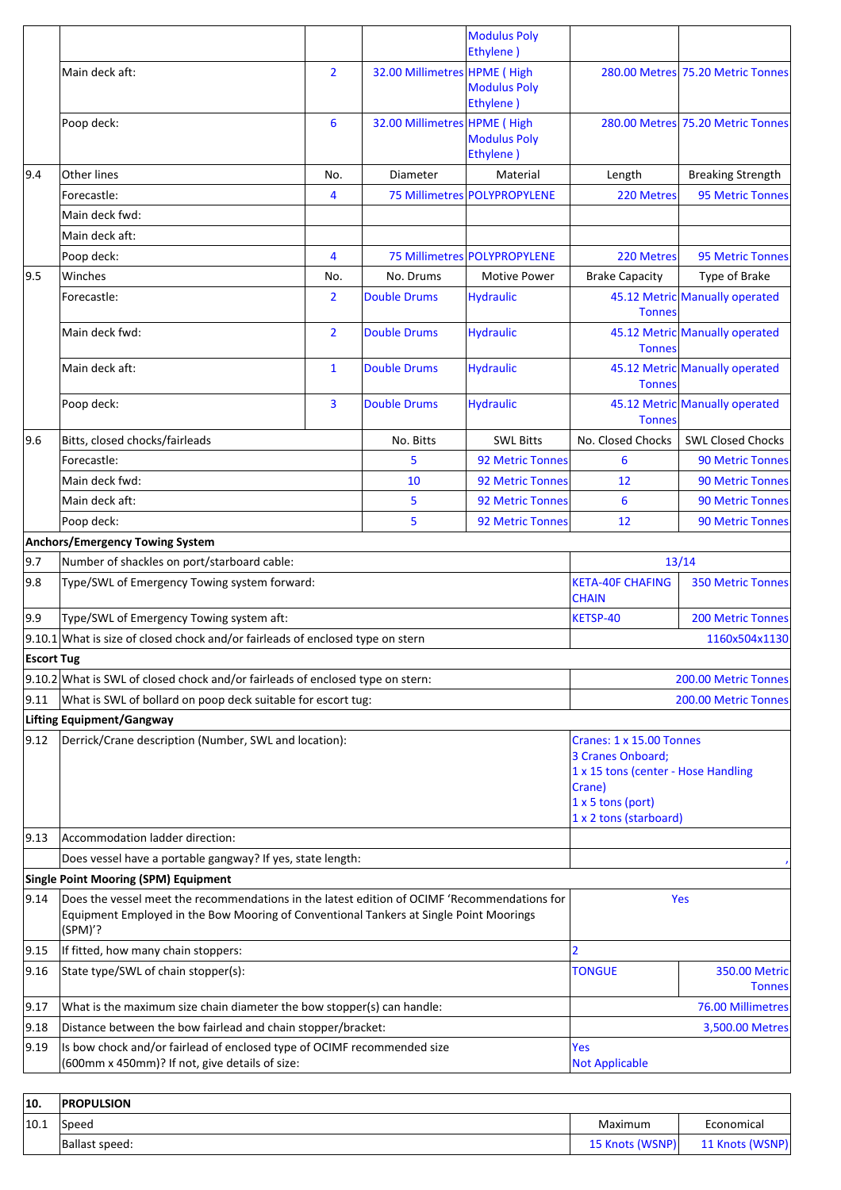|                   |                                                                                                                                                                                                   |                |                              | <b>Modulus Poly</b><br>Ethylene)              |                                               |                                   |
|-------------------|---------------------------------------------------------------------------------------------------------------------------------------------------------------------------------------------------|----------------|------------------------------|-----------------------------------------------|-----------------------------------------------|-----------------------------------|
|                   | Main deck aft:                                                                                                                                                                                    | $\overline{2}$ | 32.00 Millimetres HPME (High | <b>Modulus Poly</b>                           |                                               | 280.00 Metres 75.20 Metric Tonnes |
|                   | Poop deck:                                                                                                                                                                                        | 6              | 32.00 Millimetres HPME (High | Ethylene)<br><b>Modulus Poly</b><br>Ethylene) |                                               | 280.00 Metres 75.20 Metric Tonnes |
| 9.4               | Other lines                                                                                                                                                                                       | No.            | Diameter                     | Material                                      | Length                                        | <b>Breaking Strength</b>          |
|                   | Forecastle:                                                                                                                                                                                       | 4              |                              | 75 Millimetres POLYPROPYLENE                  | 220 Metres                                    | <b>95 Metric Tonnes</b>           |
|                   | Main deck fwd:                                                                                                                                                                                    |                |                              |                                               |                                               |                                   |
|                   | Main deck aft:                                                                                                                                                                                    |                |                              |                                               |                                               |                                   |
|                   | Poop deck:                                                                                                                                                                                        | 4              |                              | 75 Millimetres POLYPROPYLENE                  | 220 Metres                                    | <b>95 Metric Tonnes</b>           |
| 9.5               | Winches                                                                                                                                                                                           | No.            | No. Drums                    | <b>Motive Power</b>                           | <b>Brake Capacity</b>                         | Type of Brake                     |
|                   | Forecastle:                                                                                                                                                                                       | $\overline{2}$ | <b>Double Drums</b>          | <b>Hydraulic</b>                              | <b>Tonnes</b>                                 | 45.12 Metric Manually operated    |
|                   | Main deck fwd:                                                                                                                                                                                    | $\overline{2}$ | <b>Double Drums</b>          | <b>Hydraulic</b>                              | <b>Tonnes</b>                                 | 45.12 Metric Manually operated    |
|                   | Main deck aft:                                                                                                                                                                                    | $\mathbf{1}$   | <b>Double Drums</b>          | <b>Hydraulic</b>                              | <b>Tonnes</b>                                 | 45.12 Metric Manually operated    |
|                   | Poop deck:                                                                                                                                                                                        | 3              | <b>Double Drums</b>          | <b>Hydraulic</b>                              | <b>Tonnes</b>                                 | 45.12 Metric Manually operated    |
| 9.6               | Bitts, closed chocks/fairleads                                                                                                                                                                    |                | No. Bitts                    | <b>SWL Bitts</b>                              | No. Closed Chocks                             | <b>SWL Closed Chocks</b>          |
|                   | Forecastle:                                                                                                                                                                                       |                | 5                            | <b>92 Metric Tonnes</b>                       | 6                                             | <b>90 Metric Tonnes</b>           |
|                   | Main deck fwd:                                                                                                                                                                                    |                | 10                           | 92 Metric Tonnes                              | 12                                            | <b>90 Metric Tonnes</b>           |
|                   | Main deck aft:                                                                                                                                                                                    |                | 5                            | 92 Metric Tonnes                              | 6                                             | <b>90 Metric Tonnes</b>           |
|                   | Poop deck:                                                                                                                                                                                        |                | 5                            | <b>92 Metric Tonnes</b>                       | 12                                            | <b>90 Metric Tonnes</b>           |
|                   | <b>Anchors/Emergency Towing System</b>                                                                                                                                                            |                |                              |                                               |                                               |                                   |
| 9.7               | Number of shackles on port/starboard cable:                                                                                                                                                       |                |                              |                                               |                                               | 13/14                             |
| 9.8               | Type/SWL of Emergency Towing system forward:                                                                                                                                                      |                |                              |                                               | <b>KETA-40F CHAFING</b><br><b>CHAIN</b>       | <b>350 Metric Tonnes</b>          |
| 9.9               | Type/SWL of Emergency Towing system aft:                                                                                                                                                          |                |                              |                                               | KETSP-40                                      | <b>200 Metric Tonnes</b>          |
|                   | $9.10.1$ What is size of closed chock and/or fairleads of enclosed type on stern                                                                                                                  |                |                              |                                               |                                               | 1160x504x1130                     |
| <b>Escort Tug</b> |                                                                                                                                                                                                   |                |                              |                                               |                                               |                                   |
|                   | $9.10.2$ What is SWL of closed chock and/or fairleads of enclosed type on stern:                                                                                                                  |                |                              |                                               | 200.00 Metric Tonnes                          |                                   |
| 9.11              | What is SWL of bollard on poop deck suitable for escort tug:                                                                                                                                      |                |                              |                                               | 200.00 Metric Tonnes                          |                                   |
|                   | Lifting Equipment/Gangway                                                                                                                                                                         |                |                              |                                               |                                               |                                   |
| 9.12              | Derrick/Crane description (Number, SWL and location):                                                                                                                                             |                |                              |                                               | Cranes: 1 x 15.00 Tonnes<br>3 Cranes Onboard; |                                   |
|                   |                                                                                                                                                                                                   |                |                              |                                               | 1 x 15 tons (center - Hose Handling           |                                   |
|                   |                                                                                                                                                                                                   |                |                              |                                               | Crane)<br>1 x 5 tons (port)                   |                                   |
|                   |                                                                                                                                                                                                   |                |                              |                                               | 1 x 2 tons (starboard)                        |                                   |
| $ 9.13\rangle$    | Accommodation ladder direction:                                                                                                                                                                   |                |                              |                                               |                                               |                                   |
|                   | Does vessel have a portable gangway? If yes, state length:                                                                                                                                        |                |                              |                                               |                                               |                                   |
|                   | <b>Single Point Mooring (SPM) Equipment</b>                                                                                                                                                       |                |                              |                                               |                                               |                                   |
| 9.14              | Does the vessel meet the recommendations in the latest edition of OCIMF 'Recommendations for<br>Equipment Employed in the Bow Mooring of Conventional Tankers at Single Point Moorings<br>(SPM)'? |                |                              | Yes                                           |                                               |                                   |
| 9.15              | If fitted, how many chain stoppers:                                                                                                                                                               |                |                              | 2                                             |                                               |                                   |
| 9.16              | State type/SWL of chain stopper(s):                                                                                                                                                               |                |                              | <b>TONGUE</b>                                 | <b>350.00 Metric</b><br><b>Tonnes</b>         |                                   |
| 9.17              | What is the maximum size chain diameter the bow stopper(s) can handle:                                                                                                                            |                |                              |                                               |                                               | 76.00 Millimetres                 |
| 9.18              | Distance between the bow fairlead and chain stopper/bracket:                                                                                                                                      |                |                              |                                               |                                               | 3,500.00 Metres                   |
| 9.19              | Is bow chock and/or fairlead of enclosed type of OCIMF recommended size<br>(600mm x 450mm)? If not, give details of size:                                                                         |                |                              | Yes<br><b>Not Applicable</b>                  |                                               |                                   |
|                   |                                                                                                                                                                                                   |                |                              |                                               |                                               |                                   |

| 10.  | <b>IPROPULSION</b> |                 |                 |
|------|--------------------|-----------------|-----------------|
| 10.1 | Speed              | Maximum         | Economical      |
|      | Ballast speed:     | 15 Knots (WSNP) | 11 Knots (WSNP) |